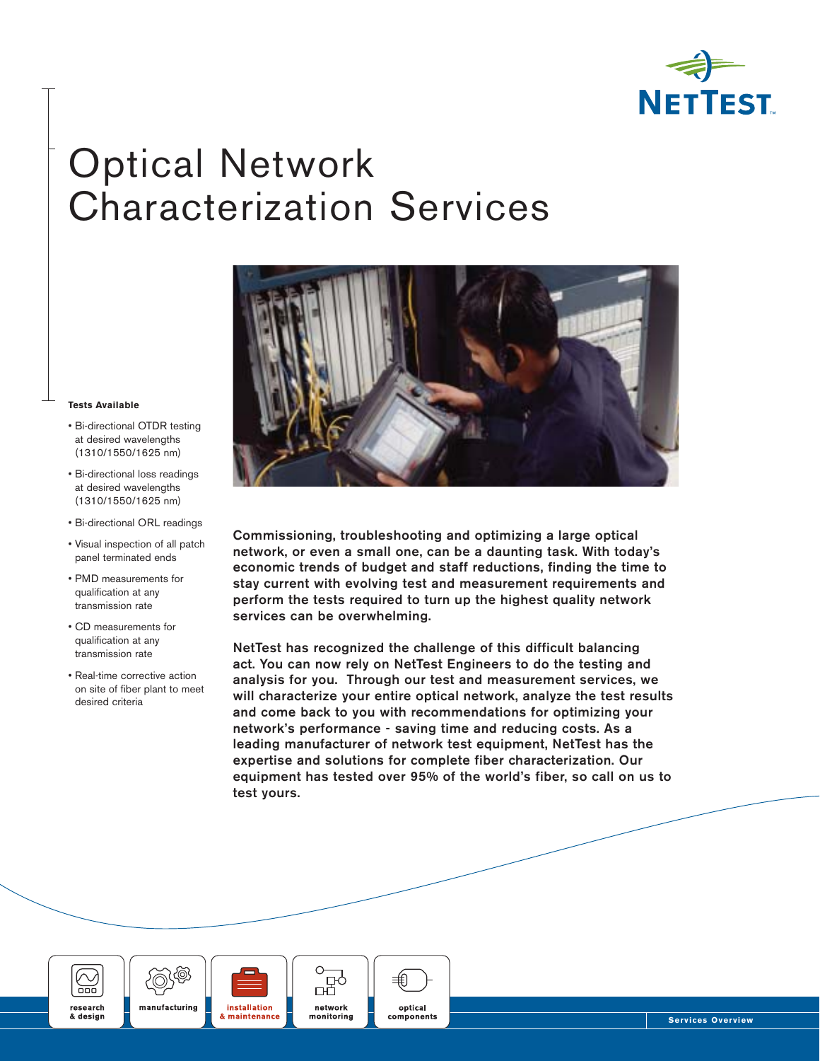

# Optical Network Characterization Services

#### **Tests Available**

- Bi-directional OTDR testing at desired wavelengths (1310/1550/1625 nm)
- Bi-directional loss readings at desired wavelengths (1310/1550/1625 nm)
- Bi-directional ORL readings
- Visual inspection of all patch panel terminated ends
- PMD measurements for qualification at any transmission rate
- CD measurements for qualification at any transmission rate
- Real-time corrective action on site of fiber plant to meet desired criteria



**Commissioning, troubleshooting and optimizing a large optical network, or even a small one, can be a daunting task. With today's economic trends of budget and staff reductions, finding the time to stay current with evolving test and measurement requirements and perform the tests required to turn up the highest quality network services can be overwhelming.**

**NetTest has recognized the challenge of this difficult balancing act. You can now rely on NetTest Engineers to do the testing and analysis for you. Through our test and measurement services, we will characterize your entire optical network, analyze the test results and come back to you with recommendations for optimizing your network's performance - saving time and reducing costs. As a leading manufacturer of network test equipment, NetTest has the expertise and solutions for complete fiber characterization. Our equipment has tested over 95% of the world's fiber, so call on us to test yours.** 







ᇜ network monitorina